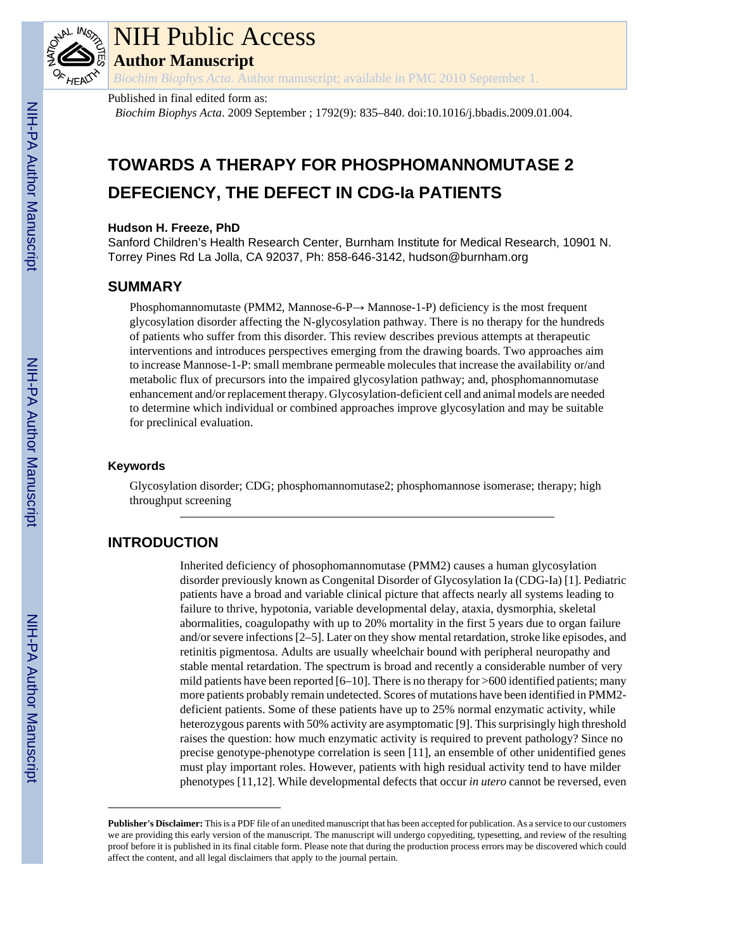

# NIH Public Access

**Author Manuscript**

*Biochim Biophys Acta*. Author manuscript; available in PMC 2010 September 1.

#### Published in final edited form as:

*Biochim Biophys Acta*. 2009 September ; 1792(9): 835–840. doi:10.1016/j.bbadis.2009.01.004.

## **TOWARDS A THERAPY FOR PHOSPHOMANNOMUTASE 2 DEFECIENCY, THE DEFECT IN CDG-Ia PATIENTS**

#### **Hudson H. Freeze, PhD**

Sanford Children's Health Research Center, Burnham Institute for Medical Research, 10901 N. Torrey Pines Rd La Jolla, CA 92037, Ph: 858-646-3142, hudson@burnham.org

#### **SUMMARY**

Phosphomannomutaste (PMM2, Mannose-6-P $\rightarrow$  Mannose-1-P) deficiency is the most frequent glycosylation disorder affecting the N-glycosylation pathway. There is no therapy for the hundreds of patients who suffer from this disorder. This review describes previous attempts at therapeutic interventions and introduces perspectives emerging from the drawing boards. Two approaches aim to increase Mannose-1-P: small membrane permeable molecules that increase the availability or/and metabolic flux of precursors into the impaired glycosylation pathway; and, phosphomannomutase enhancement and/or replacement therapy. Glycosylation-deficient cell and animal models are needed to determine which individual or combined approaches improve glycosylation and may be suitable for preclinical evaluation.

#### **Keywords**

Glycosylation disorder; CDG; phosphomannomutase2; phosphomannose isomerase; therapy; high throughput screening

#### **INTRODUCTION**

Inherited deficiency of phosophomannomutase (PMM2) causes a human glycosylation disorder previously known as Congenital Disorder of Glycosylation Ia (CDG-Ia) [1]. Pediatric patients have a broad and variable clinical picture that affects nearly all systems leading to failure to thrive, hypotonia, variable developmental delay, ataxia, dysmorphia, skeletal abormalities, coagulopathy with up to 20% mortality in the first 5 years due to organ failure and/or severe infections [2–5]. Later on they show mental retardation, stroke like episodes, and retinitis pigmentosa. Adults are usually wheelchair bound with peripheral neuropathy and stable mental retardation. The spectrum is broad and recently a considerable number of very mild patients have been reported  $[6–10]$ . There is no therapy for  $>600$  identified patients; many more patients probably remain undetected. Scores of mutations have been identified in PMM2 deficient patients. Some of these patients have up to 25% normal enzymatic activity, while heterozygous parents with 50% activity are asymptomatic [9]. This surprisingly high threshold raises the question: how much enzymatic activity is required to prevent pathology? Since no precise genotype-phenotype correlation is seen [11], an ensemble of other unidentified genes must play important roles. However, patients with high residual activity tend to have milder phenotypes [11,12]. While developmental defects that occur *in utero* cannot be reversed, even

**Publisher's Disclaimer:** This is a PDF file of an unedited manuscript that has been accepted for publication. As a service to our customers we are providing this early version of the manuscript. The manuscript will undergo copyediting, typesetting, and review of the resulting proof before it is published in its final citable form. Please note that during the production process errors may be discovered which could affect the content, and all legal disclaimers that apply to the journal pertain.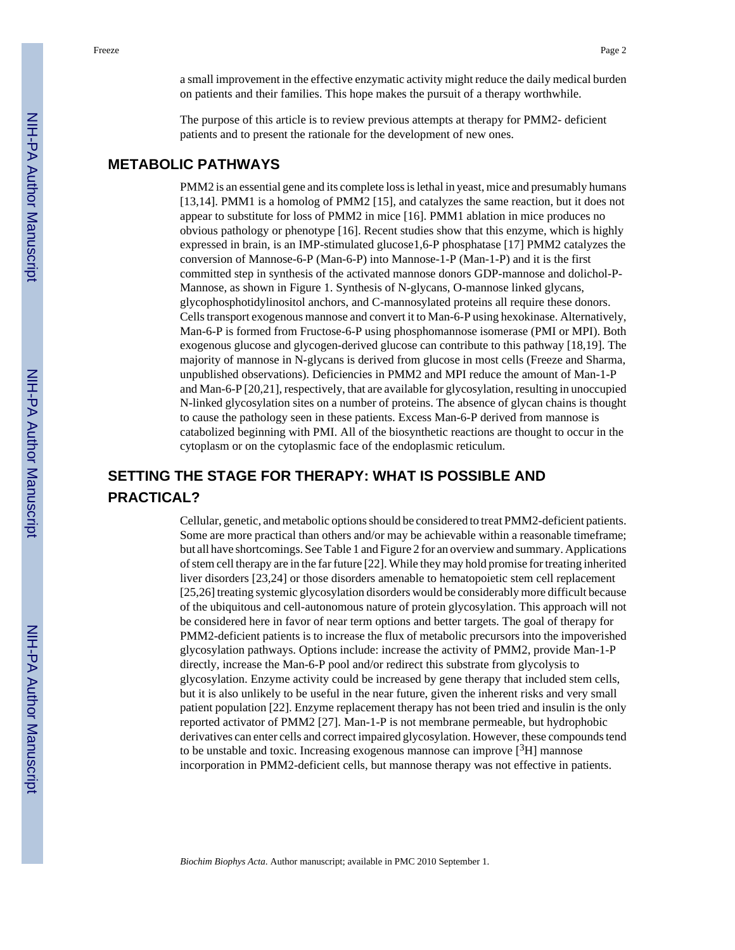a small improvement in the effective enzymatic activity might reduce the daily medical burden on patients and their families. This hope makes the pursuit of a therapy worthwhile.

The purpose of this article is to review previous attempts at therapy for PMM2- deficient patients and to present the rationale for the development of new ones.

#### **METABOLIC PATHWAYS**

PMM2 is an essential gene and its complete loss is lethal in yeast, mice and presumably humans [13,14]. PMM1 is a homolog of PMM2 [15], and catalyzes the same reaction, but it does not appear to substitute for loss of PMM2 in mice [16]. PMM1 ablation in mice produces no obvious pathology or phenotype [16]. Recent studies show that this enzyme, which is highly expressed in brain, is an IMP-stimulated glucose1,6-P phosphatase [17] PMM2 catalyzes the conversion of Mannose-6-P (Man-6-P) into Mannose-1-P (Man-1-P) and it is the first committed step in synthesis of the activated mannose donors GDP-mannose and dolichol-P-Mannose, as shown in Figure 1. Synthesis of N-glycans, O-mannose linked glycans, glycophosphotidylinositol anchors, and C-mannosylated proteins all require these donors. Cells transport exogenous mannose and convert it to Man-6-P using hexokinase. Alternatively, Man-6-P is formed from Fructose-6-P using phosphomannose isomerase (PMI or MPI). Both exogenous glucose and glycogen-derived glucose can contribute to this pathway [18,19]. The majority of mannose in N-glycans is derived from glucose in most cells (Freeze and Sharma, unpublished observations). Deficiencies in PMM2 and MPI reduce the amount of Man-1-P and Man-6-P [20,21], respectively, that are available for glycosylation, resulting in unoccupied N-linked glycosylation sites on a number of proteins. The absence of glycan chains is thought to cause the pathology seen in these patients. Excess Man-6-P derived from mannose is catabolized beginning with PMI. All of the biosynthetic reactions are thought to occur in the cytoplasm or on the cytoplasmic face of the endoplasmic reticulum.

### **SETTING THE STAGE FOR THERAPY: WHAT IS POSSIBLE AND PRACTICAL?**

Cellular, genetic, and metabolic options should be considered to treat PMM2-deficient patients. Some are more practical than others and/or may be achievable within a reasonable timeframe; but all have shortcomings. See Table 1 and Figure 2 for an overview and summary. Applications of stem cell therapy are in the far future [22]. While they may hold promise for treating inherited liver disorders [23,24] or those disorders amenable to hematopoietic stem cell replacement [25,26] treating systemic glycosylation disorders would be considerably more difficult because of the ubiquitous and cell-autonomous nature of protein glycosylation. This approach will not be considered here in favor of near term options and better targets. The goal of therapy for PMM2-deficient patients is to increase the flux of metabolic precursors into the impoverished glycosylation pathways. Options include: increase the activity of PMM2, provide Man-1-P directly, increase the Man-6-P pool and/or redirect this substrate from glycolysis to glycosylation. Enzyme activity could be increased by gene therapy that included stem cells, but it is also unlikely to be useful in the near future, given the inherent risks and very small patient population [22]. Enzyme replacement therapy has not been tried and insulin is the only reported activator of PMM2 [27]. Man-1-P is not membrane permeable, but hydrophobic derivatives can enter cells and correct impaired glycosylation. However, these compounds tend to be unstable and toxic. Increasing exogenous mannose can improve  $[{}^{3}H]$  mannose incorporation in PMM2-deficient cells, but mannose therapy was not effective in patients.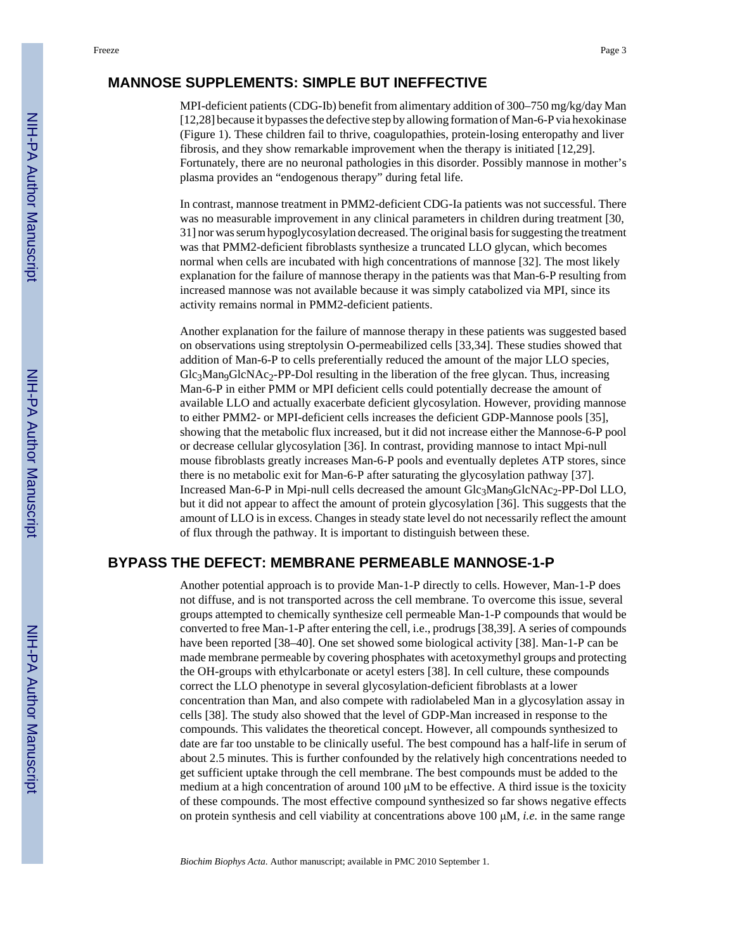#### **MANNOSE SUPPLEMENTS: SIMPLE BUT INEFFECTIVE**

MPI-deficient patients (CDG-Ib) benefit from alimentary addition of 300–750 mg/kg/day Man [12,28] because it bypasses the defective step by allowing formation of Man-6-P via hexokinase (Figure 1). These children fail to thrive, coagulopathies, protein-losing enteropathy and liver fibrosis, and they show remarkable improvement when the therapy is initiated [12,29]. Fortunately, there are no neuronal pathologies in this disorder. Possibly mannose in mother's plasma provides an "endogenous therapy" during fetal life.

In contrast, mannose treatment in PMM2-deficient CDG-Ia patients was not successful. There was no measurable improvement in any clinical parameters in children during treatment [30, 31] nor was serum hypoglycosylation decreased. The original basis for suggesting the treatment was that PMM2-deficient fibroblasts synthesize a truncated LLO glycan, which becomes normal when cells are incubated with high concentrations of mannose [32]. The most likely explanation for the failure of mannose therapy in the patients was that Man-6-P resulting from increased mannose was not available because it was simply catabolized via MPI, since its activity remains normal in PMM2-deficient patients.

Another explanation for the failure of mannose therapy in these patients was suggested based on observations using streptolysin O-permeabilized cells [33,34]. These studies showed that addition of Man-6-P to cells preferentially reduced the amount of the major LLO species,  $Glc<sub>3</sub>Man<sub>9</sub>Glc<sub>3</sub>$  PP-Dol resulting in the liberation of the free glycan. Thus, increasing Man-6-P in either PMM or MPI deficient cells could potentially decrease the amount of available LLO and actually exacerbate deficient glycosylation. However, providing mannose to either PMM2- or MPI-deficient cells increases the deficient GDP-Mannose pools [35], showing that the metabolic flux increased, but it did not increase either the Mannose-6-P pool or decrease cellular glycosylation [36]. In contrast, providing mannose to intact Mpi-null mouse fibroblasts greatly increases Man-6-P pools and eventually depletes ATP stores, since there is no metabolic exit for Man-6-P after saturating the glycosylation pathway [37]. Increased Man-6-P in Mpi-null cells decreased the amount Glc3Man9GlcNAc2-PP-Dol LLO, but it did not appear to affect the amount of protein glycosylation [36]. This suggests that the amount of LLO is in excess. Changes in steady state level do not necessarily reflect the amount of flux through the pathway. It is important to distinguish between these.

#### **BYPASS THE DEFECT: MEMBRANE PERMEABLE MANNOSE-1-P**

Another potential approach is to provide Man-1-P directly to cells. However, Man-1-P does not diffuse, and is not transported across the cell membrane. To overcome this issue, several groups attempted to chemically synthesize cell permeable Man-1-P compounds that would be converted to free Man-1-P after entering the cell, i.e., prodrugs [38,39]. A series of compounds have been reported [38–40]. One set showed some biological activity [38]. Man-1-P can be made membrane permeable by covering phosphates with acetoxymethyl groups and protecting the OH-groups with ethylcarbonate or acetyl esters [38]. In cell culture, these compounds correct the LLO phenotype in several glycosylation-deficient fibroblasts at a lower concentration than Man, and also compete with radiolabeled Man in a glycosylation assay in cells [38]. The study also showed that the level of GDP-Man increased in response to the compounds. This validates the theoretical concept. However, all compounds synthesized to date are far too unstable to be clinically useful. The best compound has a half-life in serum of about 2.5 minutes. This is further confounded by the relatively high concentrations needed to get sufficient uptake through the cell membrane. The best compounds must be added to the medium at a high concentration of around  $100 \mu M$  to be effective. A third issue is the toxicity of these compounds. The most effective compound synthesized so far shows negative effects on protein synthesis and cell viability at concentrations above 100 μM, *i.e.* in the same range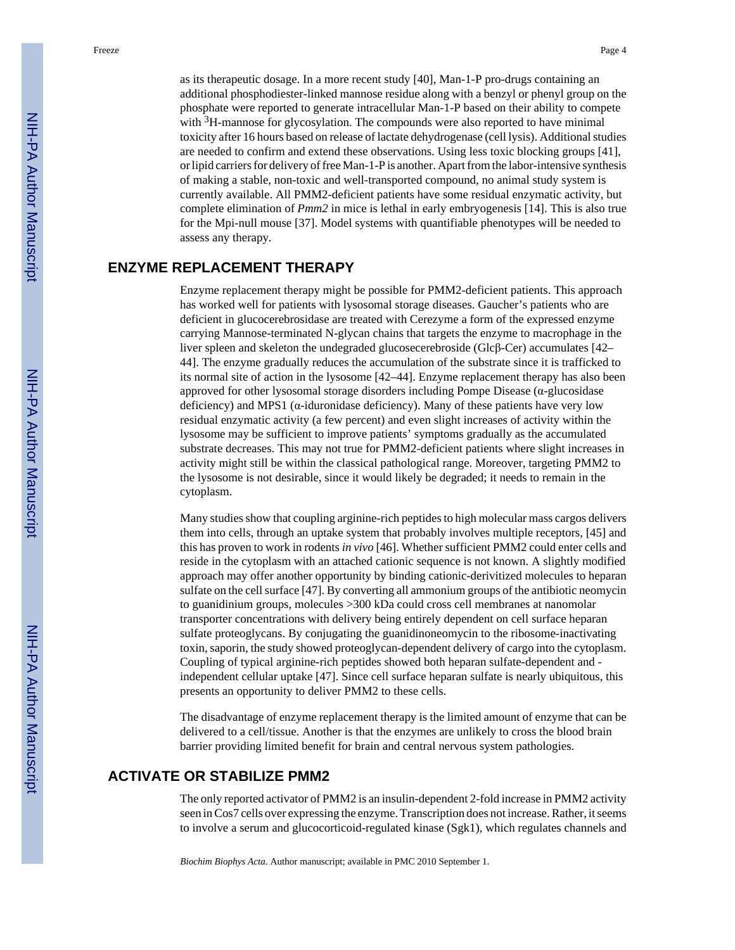as its therapeutic dosage. In a more recent study [40], Man-1-P pro-drugs containing an additional phosphodiester-linked mannose residue along with a benzyl or phenyl group on the phosphate were reported to generate intracellular Man-1-P based on their ability to compete with <sup>3</sup>H-mannose for glycosylation. The compounds were also reported to have minimal toxicity after 16 hours based on release of lactate dehydrogenase (cell lysis). Additional studies are needed to confirm and extend these observations. Using less toxic blocking groups [41], or lipid carriers for delivery of free Man-1-P is another. Apart from the labor-intensive synthesis of making a stable, non-toxic and well-transported compound, no animal study system is currently available. All PMM2-deficient patients have some residual enzymatic activity, but complete elimination of *Pmm2* in mice is lethal in early embryogenesis [14]. This is also true for the Mpi-null mouse [37]. Model systems with quantifiable phenotypes will be needed to assess any therapy.

#### **ENZYME REPLACEMENT THERAPY**

Enzyme replacement therapy might be possible for PMM2-deficient patients. This approach has worked well for patients with lysosomal storage diseases. Gaucher's patients who are deficient in glucocerebrosidase are treated with Cerezyme a form of the expressed enzyme carrying Mannose-terminated N-glycan chains that targets the enzyme to macrophage in the liver spleen and skeleton the undegraded glucosecerebroside (Glcβ-Cer) accumulates [42– 44]. The enzyme gradually reduces the accumulation of the substrate since it is trafficked to its normal site of action in the lysosome [42–44]. Enzyme replacement therapy has also been approved for other lysosomal storage disorders including Pompe Disease (α-glucosidase deficiency) and MPS1 ( $\alpha$ -iduronidase deficiency). Many of these patients have very low residual enzymatic activity (a few percent) and even slight increases of activity within the lysosome may be sufficient to improve patients' symptoms gradually as the accumulated substrate decreases. This may not true for PMM2-deficient patients where slight increases in activity might still be within the classical pathological range. Moreover, targeting PMM2 to the lysosome is not desirable, since it would likely be degraded; it needs to remain in the cytoplasm.

Many studies show that coupling arginine-rich peptides to high molecular mass cargos delivers them into cells, through an uptake system that probably involves multiple receptors, [45] and this has proven to work in rodents *in vivo* [46]. Whether sufficient PMM2 could enter cells and reside in the cytoplasm with an attached cationic sequence is not known. A slightly modified approach may offer another opportunity by binding cationic-derivitized molecules to heparan sulfate on the cell surface [47]. By converting all ammonium groups of the antibiotic neomycin to guanidinium groups, molecules >300 kDa could cross cell membranes at nanomolar transporter concentrations with delivery being entirely dependent on cell surface heparan sulfate proteoglycans. By conjugating the guanidinoneomycin to the ribosome-inactivating toxin, saporin, the study showed proteoglycan-dependent delivery of cargo into the cytoplasm. Coupling of typical arginine-rich peptides showed both heparan sulfate-dependent and independent cellular uptake [47]. Since cell surface heparan sulfate is nearly ubiquitous, this presents an opportunity to deliver PMM2 to these cells.

The disadvantage of enzyme replacement therapy is the limited amount of enzyme that can be delivered to a cell/tissue. Another is that the enzymes are unlikely to cross the blood brain barrier providing limited benefit for brain and central nervous system pathologies.

#### **ACTIVATE OR STABILIZE PMM2**

The only reported activator of PMM2 is an insulin-dependent 2-fold increase in PMM2 activity seen in Cos7 cells over expressing the enzyme. Transcription does not increase. Rather, it seems to involve a serum and glucocorticoid-regulated kinase (Sgk1), which regulates channels and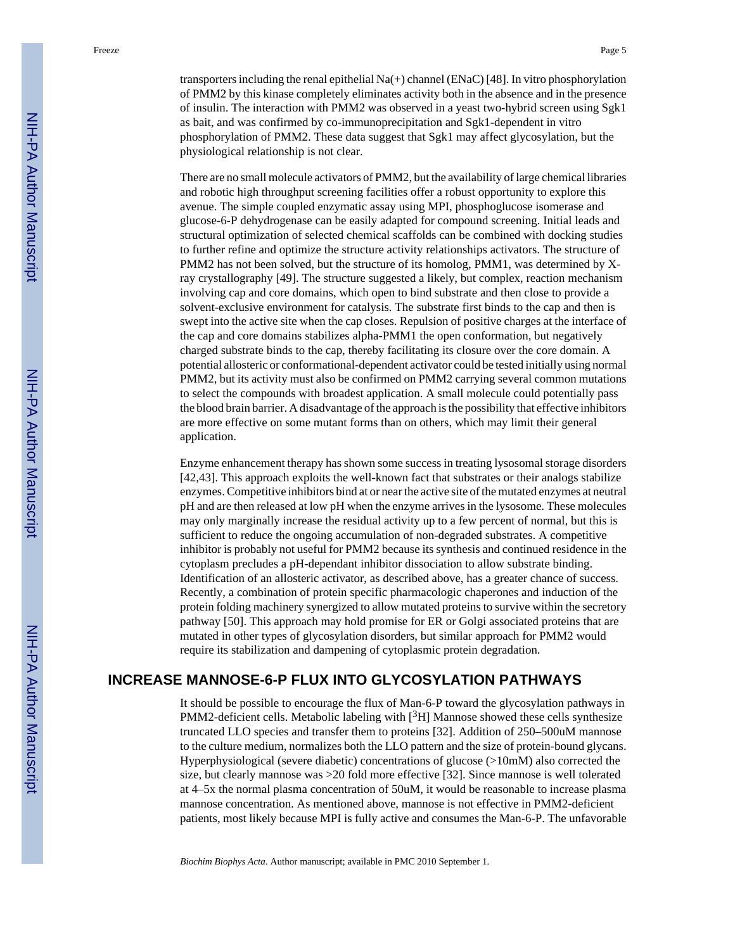transporters including the renal epithelial  $Na(+)$  channel (ENaC) [48]. In vitro phosphorylation of PMM2 by this kinase completely eliminates activity both in the absence and in the presence of insulin. The interaction with PMM2 was observed in a yeast two-hybrid screen using Sgk1 as bait, and was confirmed by co-immunoprecipitation and Sgk1-dependent in vitro phosphorylation of PMM2. These data suggest that Sgk1 may affect glycosylation, but the physiological relationship is not clear.

There are no small molecule activators of PMM2, but the availability of large chemical libraries and robotic high throughput screening facilities offer a robust opportunity to explore this avenue. The simple coupled enzymatic assay using MPI, phosphoglucose isomerase and glucose-6-P dehydrogenase can be easily adapted for compound screening. Initial leads and structural optimization of selected chemical scaffolds can be combined with docking studies to further refine and optimize the structure activity relationships activators. The structure of PMM2 has not been solved, but the structure of its homolog, PMM1, was determined by Xray crystallography [49]. The structure suggested a likely, but complex, reaction mechanism involving cap and core domains, which open to bind substrate and then close to provide a solvent-exclusive environment for catalysis. The substrate first binds to the cap and then is swept into the active site when the cap closes. Repulsion of positive charges at the interface of the cap and core domains stabilizes alpha-PMM1 the open conformation, but negatively charged substrate binds to the cap, thereby facilitating its closure over the core domain. A potential allosteric or conformational-dependent activator could be tested initially using normal PMM2, but its activity must also be confirmed on PMM2 carrying several common mutations to select the compounds with broadest application. A small molecule could potentially pass the blood brain barrier. A disadvantage of the approach is the possibility that effective inhibitors are more effective on some mutant forms than on others, which may limit their general application.

Enzyme enhancement therapy has shown some success in treating lysosomal storage disorders [42,43]. This approach exploits the well-known fact that substrates or their analogs stabilize enzymes. Competitive inhibitors bind at or near the active site of the mutated enzymes at neutral pH and are then released at low pH when the enzyme arrives in the lysosome. These molecules may only marginally increase the residual activity up to a few percent of normal, but this is sufficient to reduce the ongoing accumulation of non-degraded substrates. A competitive inhibitor is probably not useful for PMM2 because its synthesis and continued residence in the cytoplasm precludes a pH-dependant inhibitor dissociation to allow substrate binding. Identification of an allosteric activator, as described above, has a greater chance of success. Recently, a combination of protein specific pharmacologic chaperones and induction of the protein folding machinery synergized to allow mutated proteins to survive within the secretory pathway [50]. This approach may hold promise for ER or Golgi associated proteins that are mutated in other types of glycosylation disorders, but similar approach for PMM2 would require its stabilization and dampening of cytoplasmic protein degradation.

#### **INCREASE MANNOSE-6-P FLUX INTO GLYCOSYLATION PATHWAYS**

It should be possible to encourage the flux of Man-6-P toward the glycosylation pathways in PMM2-deficient cells. Metabolic labeling with  $[3H]$  Mannose showed these cells synthesize truncated LLO species and transfer them to proteins [32]. Addition of 250–500uM mannose to the culture medium, normalizes both the LLO pattern and the size of protein-bound glycans. Hyperphysiological (severe diabetic) concentrations of glucose (>10mM) also corrected the size, but clearly mannose was >20 fold more effective [32]. Since mannose is well tolerated at 4–5x the normal plasma concentration of 50uM, it would be reasonable to increase plasma mannose concentration. As mentioned above, mannose is not effective in PMM2-deficient patients, most likely because MPI is fully active and consumes the Man-6-P. The unfavorable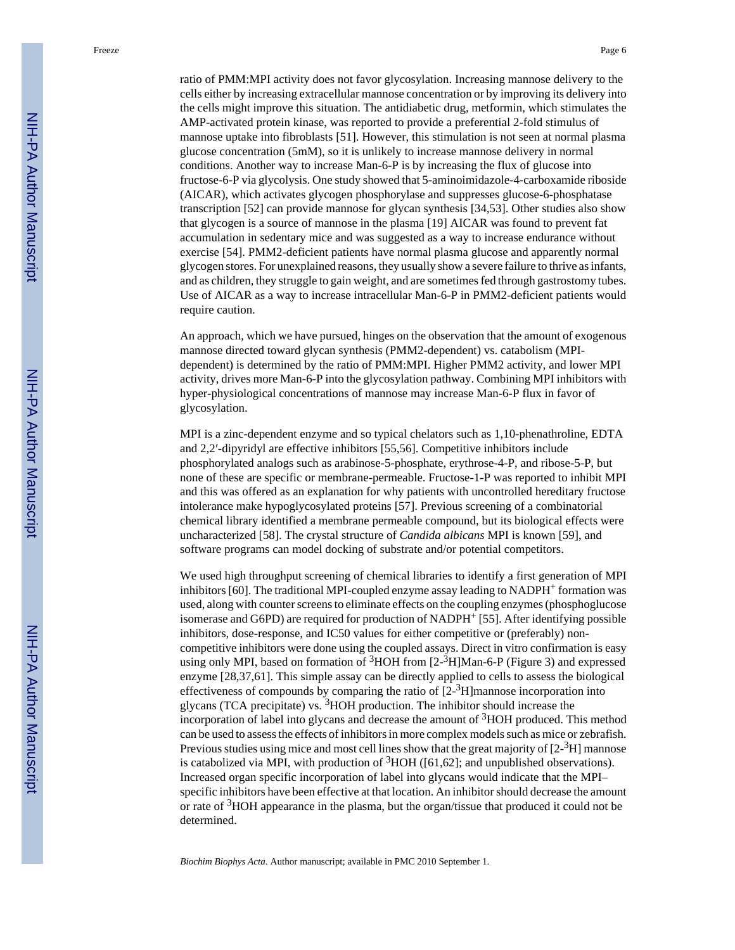ratio of PMM:MPI activity does not favor glycosylation. Increasing mannose delivery to the cells either by increasing extracellular mannose concentration or by improving its delivery into the cells might improve this situation. The antidiabetic drug, metformin, which stimulates the AMP-activated protein kinase, was reported to provide a preferential 2-fold stimulus of mannose uptake into fibroblasts [51]. However, this stimulation is not seen at normal plasma glucose concentration (5mM), so it is unlikely to increase mannose delivery in normal conditions. Another way to increase Man-6-P is by increasing the flux of glucose into fructose-6-P via glycolysis. One study showed that 5-aminoimidazole-4-carboxamide riboside (AICAR), which activates glycogen phosphorylase and suppresses glucose-6-phosphatase transcription [52] can provide mannose for glycan synthesis [34,53]. Other studies also show that glycogen is a source of mannose in the plasma [19] AICAR was found to prevent fat accumulation in sedentary mice and was suggested as a way to increase endurance without exercise [54]. PMM2-deficient patients have normal plasma glucose and apparently normal glycogen stores. For unexplained reasons, they usually show a severe failure to thrive as infants, and as children, they struggle to gain weight, and are sometimes fed through gastrostomy tubes. Use of AICAR as a way to increase intracellular Man-6-P in PMM2-deficient patients would require caution.

An approach, which we have pursued, hinges on the observation that the amount of exogenous mannose directed toward glycan synthesis (PMM2-dependent) vs. catabolism (MPIdependent) is determined by the ratio of PMM:MPI. Higher PMM2 activity, and lower MPI activity, drives more Man-6-P into the glycosylation pathway. Combining MPI inhibitors with hyper-physiological concentrations of mannose may increase Man-6-P flux in favor of glycosylation.

MPI is a zinc-dependent enzyme and so typical chelators such as 1,10-phenathroline, EDTA and 2,2′-dipyridyl are effective inhibitors [55,56]. Competitive inhibitors include phosphorylated analogs such as arabinose-5-phosphate, erythrose-4-P, and ribose-5-P, but none of these are specific or membrane-permeable. Fructose-1-P was reported to inhibit MPI and this was offered as an explanation for why patients with uncontrolled hereditary fructose intolerance make hypoglycosylated proteins [57]. Previous screening of a combinatorial chemical library identified a membrane permeable compound, but its biological effects were uncharacterized [58]. The crystal structure of *Candida albicans* MPI is known [59], and software programs can model docking of substrate and/or potential competitors.

We used high throughput screening of chemical libraries to identify a first generation of MPI inhibitors  $[60]$ . The traditional MPI-coupled enzyme assay leading to NADPH<sup>+</sup> formation was used, along with counter screens to eliminate effects on the coupling enzymes (phosphoglucose isomerase and G6PD) are required for production of NADPH<sup>+</sup> [55]. After identifying possible inhibitors, dose-response, and IC50 values for either competitive or (preferably) noncompetitive inhibitors were done using the coupled assays. Direct in vitro confirmation is easy using only MPI, based on formation of  ${}^{3}$ HOH from [2- ${}^{3}$ H]Man-6-P (Figure 3) and expressed enzyme [28,37,61]. This simple assay can be directly applied to cells to assess the biological effectiveness of compounds by comparing the ratio of  $[2<sup>3</sup>H]$ mannose incorporation into glycans (TCA precipitate) vs. 3HOH production. The inhibitor should increase the incorporation of label into glycans and decrease the amount of  $3HOH$  produced. This method can be used to assess the effects of inhibitors in more complex models such as mice or zebrafish. Previous studies using mice and most cell lines show that the great majority of  $[2^{-3}H]$  mannose is catabolized via MPI, with production of  ${}^{3}$ HOH ([61,62]; and unpublished observations). Increased organ specific incorporation of label into glycans would indicate that the MPI– specific inhibitors have been effective at that location. An inhibitor should decrease the amount or rate of 3HOH appearance in the plasma, but the organ/tissue that produced it could not be determined.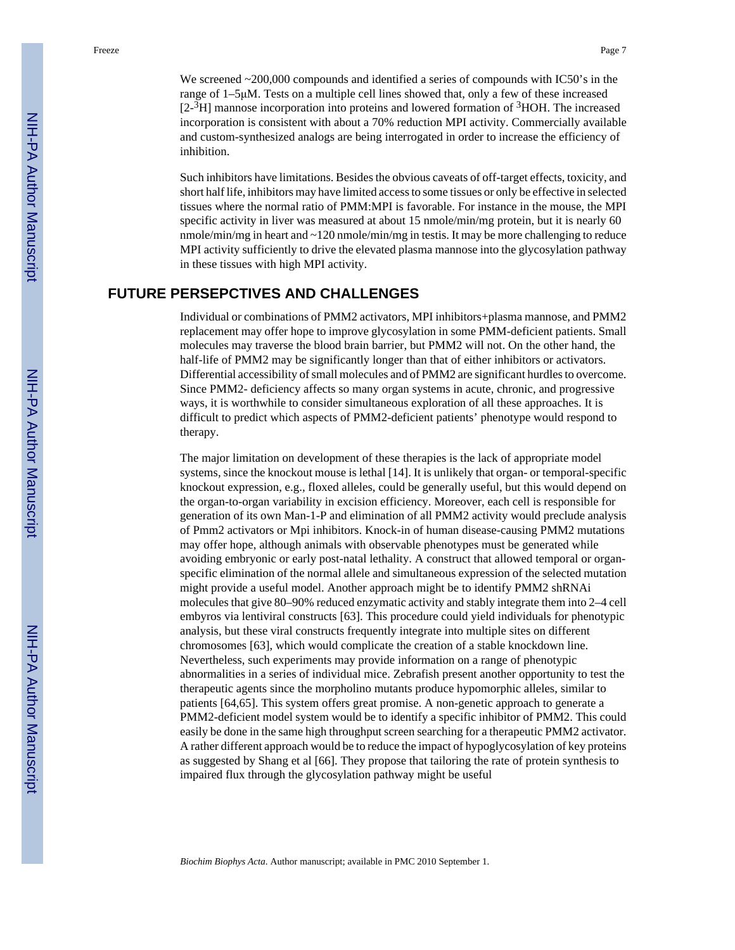We screened  $\sim$  200,000 compounds and identified a series of compounds with IC50's in the range of 1–5μM. Tests on a multiple cell lines showed that, only a few of these increased  $[2<sup>3</sup>H]$  mannose incorporation into proteins and lowered formation of  ${}^{3}$ HOH. The increased incorporation is consistent with about a 70% reduction MPI activity. Commercially available and custom-synthesized analogs are being interrogated in order to increase the efficiency of inhibition.

Such inhibitors have limitations. Besides the obvious caveats of off-target effects, toxicity, and short half life, inhibitors may have limited access to some tissues or only be effective in selected tissues where the normal ratio of PMM:MPI is favorable. For instance in the mouse, the MPI specific activity in liver was measured at about 15 nmole/min/mg protein, but it is nearly 60 nmole/min/mg in heart and ~120 nmole/min/mg in testis. It may be more challenging to reduce MPI activity sufficiently to drive the elevated plasma mannose into the glycosylation pathway in these tissues with high MPI activity.

#### **FUTURE PERSEPCTIVES AND CHALLENGES**

Individual or combinations of PMM2 activators, MPI inhibitors+plasma mannose, and PMM2 replacement may offer hope to improve glycosylation in some PMM-deficient patients. Small molecules may traverse the blood brain barrier, but PMM2 will not. On the other hand, the half-life of PMM2 may be significantly longer than that of either inhibitors or activators. Differential accessibility of small molecules and of PMM2 are significant hurdles to overcome. Since PMM2- deficiency affects so many organ systems in acute, chronic, and progressive ways, it is worthwhile to consider simultaneous exploration of all these approaches. It is difficult to predict which aspects of PMM2-deficient patients' phenotype would respond to therapy.

The major limitation on development of these therapies is the lack of appropriate model systems, since the knockout mouse is lethal [14]. It is unlikely that organ- or temporal-specific knockout expression, e.g., floxed alleles, could be generally useful, but this would depend on the organ-to-organ variability in excision efficiency. Moreover, each cell is responsible for generation of its own Man-1-P and elimination of all PMM2 activity would preclude analysis of Pmm2 activators or Mpi inhibitors. Knock-in of human disease-causing PMM2 mutations may offer hope, although animals with observable phenotypes must be generated while avoiding embryonic or early post-natal lethality. A construct that allowed temporal or organspecific elimination of the normal allele and simultaneous expression of the selected mutation might provide a useful model. Another approach might be to identify PMM2 shRNAi molecules that give 80–90% reduced enzymatic activity and stably integrate them into 2–4 cell embyros via lentiviral constructs [63]. This procedure could yield individuals for phenotypic analysis, but these viral constructs frequently integrate into multiple sites on different chromosomes [63], which would complicate the creation of a stable knockdown line. Nevertheless, such experiments may provide information on a range of phenotypic abnormalities in a series of individual mice. Zebrafish present another opportunity to test the therapeutic agents since the morpholino mutants produce hypomorphic alleles, similar to patients [64,65]. This system offers great promise. A non-genetic approach to generate a PMM2-deficient model system would be to identify a specific inhibitor of PMM2. This could easily be done in the same high throughput screen searching for a therapeutic PMM2 activator. A rather different approach would be to reduce the impact of hypoglycosylation of key proteins as suggested by Shang et al [66]. They propose that tailoring the rate of protein synthesis to impaired flux through the glycosylation pathway might be useful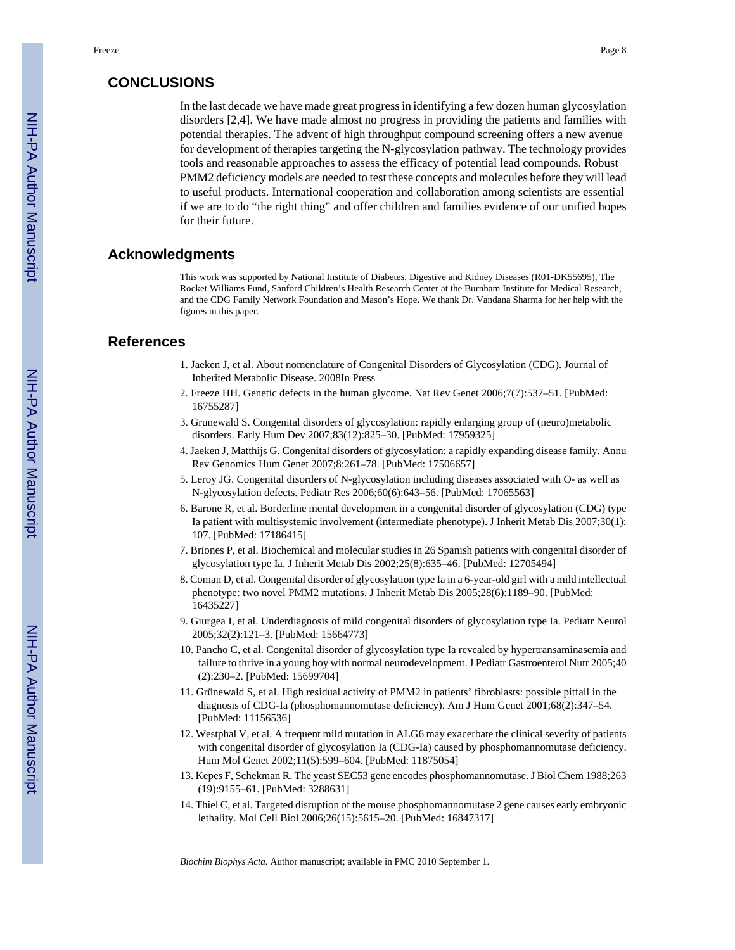#### **CONCLUSIONS**

In the last decade we have made great progress in identifying a few dozen human glycosylation disorders [2,4]. We have made almost no progress in providing the patients and families with potential therapies. The advent of high throughput compound screening offers a new avenue for development of therapies targeting the N-glycosylation pathway. The technology provides tools and reasonable approaches to assess the efficacy of potential lead compounds. Robust PMM2 deficiency models are needed to test these concepts and molecules before they will lead to useful products. International cooperation and collaboration among scientists are essential if we are to do "the right thing" and offer children and families evidence of our unified hopes for their future.

#### **Acknowledgments**

This work was supported by National Institute of Diabetes, Digestive and Kidney Diseases (R01-DK55695), The Rocket Williams Fund, Sanford Children's Health Research Center at the Burnham Institute for Medical Research, and the CDG Family Network Foundation and Mason's Hope. We thank Dr. Vandana Sharma for her help with the figures in this paper.

#### **References**

- 1. Jaeken J, et al. About nomenclature of Congenital Disorders of Glycosylation (CDG). Journal of Inherited Metabolic Disease. 2008In Press
- 2. Freeze HH. Genetic defects in the human glycome. Nat Rev Genet 2006;7(7):537–51. [PubMed: 16755287]
- 3. Grunewald S. Congenital disorders of glycosylation: rapidly enlarging group of (neuro)metabolic disorders. Early Hum Dev 2007;83(12):825–30. [PubMed: 17959325]
- 4. Jaeken J, Matthijs G. Congenital disorders of glycosylation: a rapidly expanding disease family. Annu Rev Genomics Hum Genet 2007;8:261–78. [PubMed: 17506657]
- 5. Leroy JG. Congenital disorders of N-glycosylation including diseases associated with O- as well as N-glycosylation defects. Pediatr Res 2006;60(6):643–56. [PubMed: 17065563]
- 6. Barone R, et al. Borderline mental development in a congenital disorder of glycosylation (CDG) type Ia patient with multisystemic involvement (intermediate phenotype). J Inherit Metab Dis 2007;30(1): 107. [PubMed: 17186415]
- 7. Briones P, et al. Biochemical and molecular studies in 26 Spanish patients with congenital disorder of glycosylation type Ia. J Inherit Metab Dis 2002;25(8):635–46. [PubMed: 12705494]
- 8. Coman D, et al. Congenital disorder of glycosylation type Ia in a 6-year-old girl with a mild intellectual phenotype: two novel PMM2 mutations. J Inherit Metab Dis 2005;28(6):1189–90. [PubMed: 16435227]
- 9. Giurgea I, et al. Underdiagnosis of mild congenital disorders of glycosylation type Ia. Pediatr Neurol 2005;32(2):121–3. [PubMed: 15664773]
- 10. Pancho C, et al. Congenital disorder of glycosylation type Ia revealed by hypertransaminasemia and failure to thrive in a young boy with normal neurodevelopment. J Pediatr Gastroenterol Nutr 2005;40 (2):230–2. [PubMed: 15699704]
- 11. Grünewald S, et al. High residual activity of PMM2 in patients' fibroblasts: possible pitfall in the diagnosis of CDG-Ia (phosphomannomutase deficiency). Am J Hum Genet 2001;68(2):347–54. [PubMed: 11156536]
- 12. Westphal V, et al. A frequent mild mutation in ALG6 may exacerbate the clinical severity of patients with congenital disorder of glycosylation Ia (CDG-Ia) caused by phosphomannomutase deficiency. Hum Mol Genet 2002;11(5):599–604. [PubMed: 11875054]
- 13. Kepes F, Schekman R. The yeast SEC53 gene encodes phosphomannomutase. J Biol Chem 1988;263 (19):9155–61. [PubMed: 3288631]
- 14. Thiel C, et al. Targeted disruption of the mouse phosphomannomutase 2 gene causes early embryonic lethality. Mol Cell Biol 2006;26(15):5615–20. [PubMed: 16847317]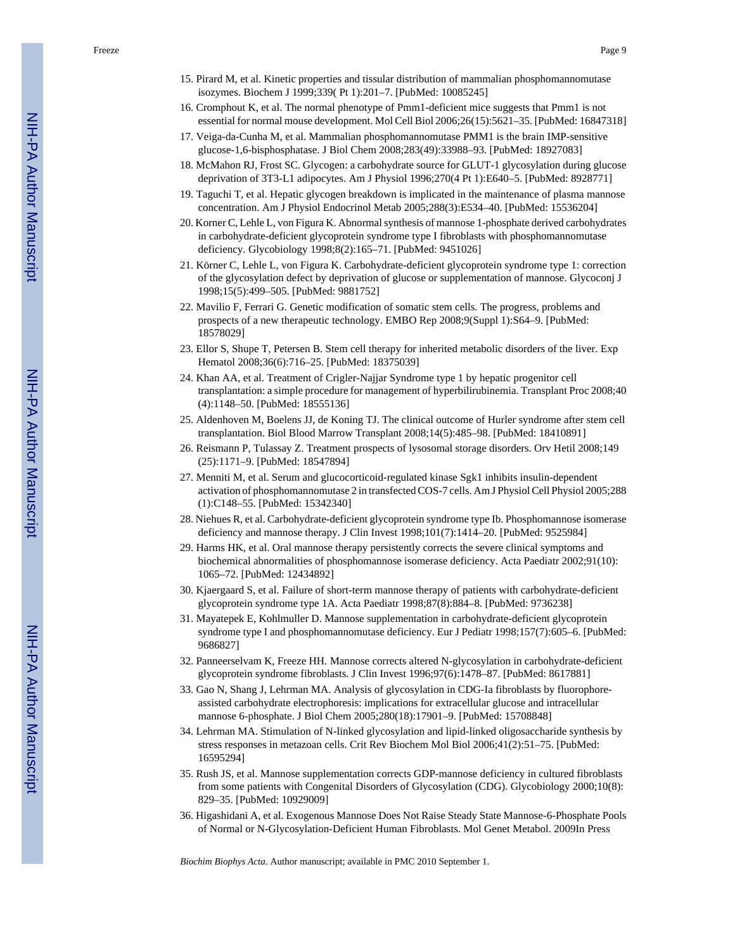Freeze Page 9

- 16. Cromphout K, et al. The normal phenotype of Pmm1-deficient mice suggests that Pmm1 is not essential for normal mouse development. Mol Cell Biol 2006;26(15):5621–35. [PubMed: 16847318]
- 17. Veiga-da-Cunha M, et al. Mammalian phosphomannomutase PMM1 is the brain IMP-sensitive glucose-1,6-bisphosphatase. J Biol Chem 2008;283(49):33988–93. [PubMed: 18927083]
- 18. McMahon RJ, Frost SC. Glycogen: a carbohydrate source for GLUT-1 glycosylation during glucose deprivation of 3T3-L1 adipocytes. Am J Physiol 1996;270(4 Pt 1):E640–5. [PubMed: 8928771]
- 19. Taguchi T, et al. Hepatic glycogen breakdown is implicated in the maintenance of plasma mannose concentration. Am J Physiol Endocrinol Metab 2005;288(3):E534–40. [PubMed: 15536204]
- 20. Korner C, Lehle L, von Figura K. Abnormal synthesis of mannose 1-phosphate derived carbohydrates in carbohydrate-deficient glycoprotein syndrome type I fibroblasts with phosphomannomutase deficiency. Glycobiology 1998;8(2):165–71. [PubMed: 9451026]
- 21. Körner C, Lehle L, von Figura K. Carbohydrate-deficient glycoprotein syndrome type 1: correction of the glycosylation defect by deprivation of glucose or supplementation of mannose. Glycoconj J 1998;15(5):499–505. [PubMed: 9881752]
- 22. Mavilio F, Ferrari G. Genetic modification of somatic stem cells. The progress, problems and prospects of a new therapeutic technology. EMBO Rep 2008;9(Suppl 1):S64–9. [PubMed: 18578029]
- 23. Ellor S, Shupe T, Petersen B. Stem cell therapy for inherited metabolic disorders of the liver. Exp Hematol 2008;36(6):716–25. [PubMed: 18375039]
- 24. Khan AA, et al. Treatment of Crigler-Najjar Syndrome type 1 by hepatic progenitor cell transplantation: a simple procedure for management of hyperbilirubinemia. Transplant Proc 2008;40 (4):1148–50. [PubMed: 18555136]
- 25. Aldenhoven M, Boelens JJ, de Koning TJ. The clinical outcome of Hurler syndrome after stem cell transplantation. Biol Blood Marrow Transplant 2008;14(5):485–98. [PubMed: 18410891]
- 26. Reismann P, Tulassay Z. Treatment prospects of lysosomal storage disorders. Orv Hetil 2008;149 (25):1171–9. [PubMed: 18547894]
- 27. Menniti M, et al. Serum and glucocorticoid-regulated kinase Sgk1 inhibits insulin-dependent activation of phosphomannomutase 2 in transfected COS-7 cells. Am J Physiol Cell Physiol 2005;288 (1):C148–55. [PubMed: 15342340]
- 28. Niehues R, et al. Carbohydrate-deficient glycoprotein syndrome type Ib. Phosphomannose isomerase deficiency and mannose therapy. J Clin Invest 1998;101(7):1414–20. [PubMed: 9525984]
- 29. Harms HK, et al. Oral mannose therapy persistently corrects the severe clinical symptoms and biochemical abnormalities of phosphomannose isomerase deficiency. Acta Paediatr 2002;91(10): 1065–72. [PubMed: 12434892]
- 30. Kjaergaard S, et al. Failure of short-term mannose therapy of patients with carbohydrate-deficient glycoprotein syndrome type 1A. Acta Paediatr 1998;87(8):884–8. [PubMed: 9736238]
- 31. Mayatepek E, Kohlmuller D. Mannose supplementation in carbohydrate-deficient glycoprotein syndrome type I and phosphomannomutase deficiency. Eur J Pediatr 1998;157(7):605–6. [PubMed: 9686827]
- 32. Panneerselvam K, Freeze HH. Mannose corrects altered N-glycosylation in carbohydrate-deficient glycoprotein syndrome fibroblasts. J Clin Invest 1996;97(6):1478–87. [PubMed: 8617881]
- 33. Gao N, Shang J, Lehrman MA. Analysis of glycosylation in CDG-Ia fibroblasts by fluorophoreassisted carbohydrate electrophoresis: implications for extracellular glucose and intracellular mannose 6-phosphate. J Biol Chem 2005;280(18):17901–9. [PubMed: 15708848]
- 34. Lehrman MA. Stimulation of N-linked glycosylation and lipid-linked oligosaccharide synthesis by stress responses in metazoan cells. Crit Rev Biochem Mol Biol 2006;41(2):51–75. [PubMed: 16595294]
- 35. Rush JS, et al. Mannose supplementation corrects GDP-mannose deficiency in cultured fibroblasts from some patients with Congenital Disorders of Glycosylation (CDG). Glycobiology 2000;10(8): 829–35. [PubMed: 10929009]
- 36. Higashidani A, et al. Exogenous Mannose Does Not Raise Steady State Mannose-6-Phosphate Pools of Normal or N-Glycosylation-Deficient Human Fibroblasts. Mol Genet Metabol. 2009In Press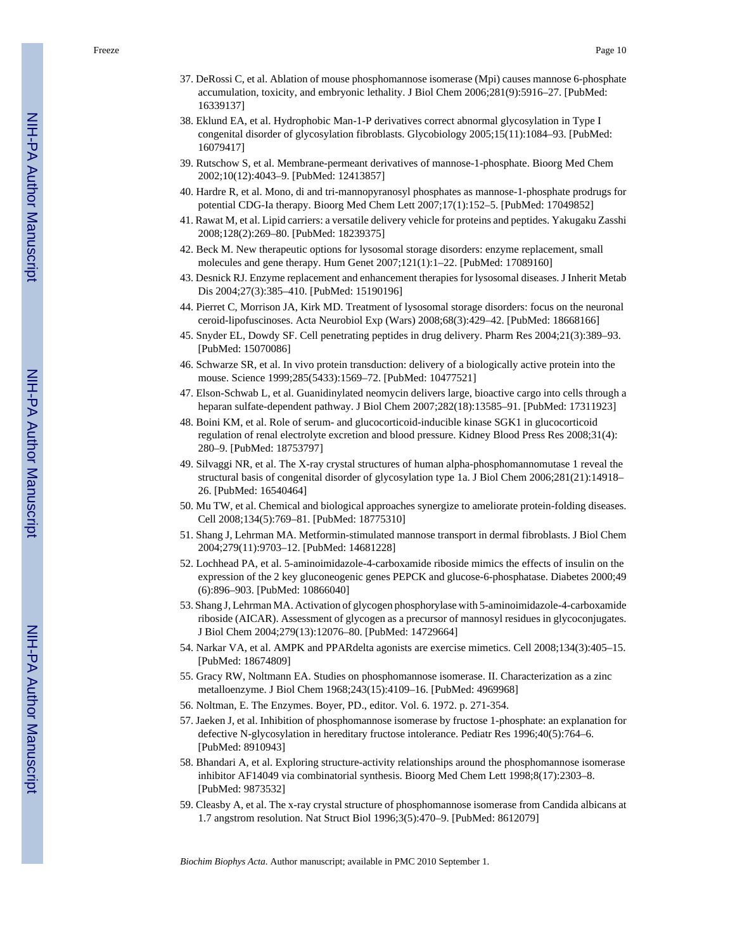- 37. DeRossi C, et al. Ablation of mouse phosphomannose isomerase (Mpi) causes mannose 6-phosphate accumulation, toxicity, and embryonic lethality. J Biol Chem 2006;281(9):5916–27. [PubMed: 16339137]
- 38. Eklund EA, et al. Hydrophobic Man-1-P derivatives correct abnormal glycosylation in Type I congenital disorder of glycosylation fibroblasts. Glycobiology 2005;15(11):1084–93. [PubMed: 16079417]
- 39. Rutschow S, et al. Membrane-permeant derivatives of mannose-1-phosphate. Bioorg Med Chem 2002;10(12):4043–9. [PubMed: 12413857]
- 40. Hardre R, et al. Mono, di and tri-mannopyranosyl phosphates as mannose-1-phosphate prodrugs for potential CDG-Ia therapy. Bioorg Med Chem Lett 2007;17(1):152–5. [PubMed: 17049852]
- 41. Rawat M, et al. Lipid carriers: a versatile delivery vehicle for proteins and peptides. Yakugaku Zasshi 2008;128(2):269–80. [PubMed: 18239375]
- 42. Beck M. New therapeutic options for lysosomal storage disorders: enzyme replacement, small molecules and gene therapy. Hum Genet 2007;121(1):1–22. [PubMed: 17089160]
- 43. Desnick RJ. Enzyme replacement and enhancement therapies for lysosomal diseases. J Inherit Metab Dis 2004;27(3):385–410. [PubMed: 15190196]
- 44. Pierret C, Morrison JA, Kirk MD. Treatment of lysosomal storage disorders: focus on the neuronal ceroid-lipofuscinoses. Acta Neurobiol Exp (Wars) 2008;68(3):429–42. [PubMed: 18668166]
- 45. Snyder EL, Dowdy SF. Cell penetrating peptides in drug delivery. Pharm Res 2004;21(3):389–93. [PubMed: 15070086]
- 46. Schwarze SR, et al. In vivo protein transduction: delivery of a biologically active protein into the mouse. Science 1999;285(5433):1569–72. [PubMed: 10477521]
- 47. Elson-Schwab L, et al. Guanidinylated neomycin delivers large, bioactive cargo into cells through a heparan sulfate-dependent pathway. J Biol Chem 2007;282(18):13585–91. [PubMed: 17311923]
- 48. Boini KM, et al. Role of serum- and glucocorticoid-inducible kinase SGK1 in glucocorticoid regulation of renal electrolyte excretion and blood pressure. Kidney Blood Press Res 2008;31(4): 280–9. [PubMed: 18753797]
- 49. Silvaggi NR, et al. The X-ray crystal structures of human alpha-phosphomannomutase 1 reveal the structural basis of congenital disorder of glycosylation type 1a. J Biol Chem 2006;281(21):14918– 26. [PubMed: 16540464]
- 50. Mu TW, et al. Chemical and biological approaches synergize to ameliorate protein-folding diseases. Cell 2008;134(5):769–81. [PubMed: 18775310]
- 51. Shang J, Lehrman MA. Metformin-stimulated mannose transport in dermal fibroblasts. J Biol Chem 2004;279(11):9703–12. [PubMed: 14681228]
- 52. Lochhead PA, et al. 5-aminoimidazole-4-carboxamide riboside mimics the effects of insulin on the expression of the 2 key gluconeogenic genes PEPCK and glucose-6-phosphatase. Diabetes 2000;49 (6):896–903. [PubMed: 10866040]
- 53. Shang J, Lehrman MA. Activation of glycogen phosphorylase with 5-aminoimidazole-4-carboxamide riboside (AICAR). Assessment of glycogen as a precursor of mannosyl residues in glycoconjugates. J Biol Chem 2004;279(13):12076–80. [PubMed: 14729664]
- 54. Narkar VA, et al. AMPK and PPARdelta agonists are exercise mimetics. Cell 2008;134(3):405–15. [PubMed: 18674809]
- 55. Gracy RW, Noltmann EA. Studies on phosphomannose isomerase. II. Characterization as a zinc metalloenzyme. J Biol Chem 1968;243(15):4109–16. [PubMed: 4969968]
- 56. Noltman, E. The Enzymes. Boyer, PD., editor. Vol. 6. 1972. p. 271-354.
- 57. Jaeken J, et al. Inhibition of phosphomannose isomerase by fructose 1-phosphate: an explanation for defective N-glycosylation in hereditary fructose intolerance. Pediatr Res 1996;40(5):764–6. [PubMed: 8910943]
- 58. Bhandari A, et al. Exploring structure-activity relationships around the phosphomannose isomerase inhibitor AF14049 via combinatorial synthesis. Bioorg Med Chem Lett 1998;8(17):2303–8. [PubMed: 9873532]
- 59. Cleasby A, et al. The x-ray crystal structure of phosphomannose isomerase from Candida albicans at 1.7 angstrom resolution. Nat Struct Biol 1996;3(5):470–9. [PubMed: 8612079]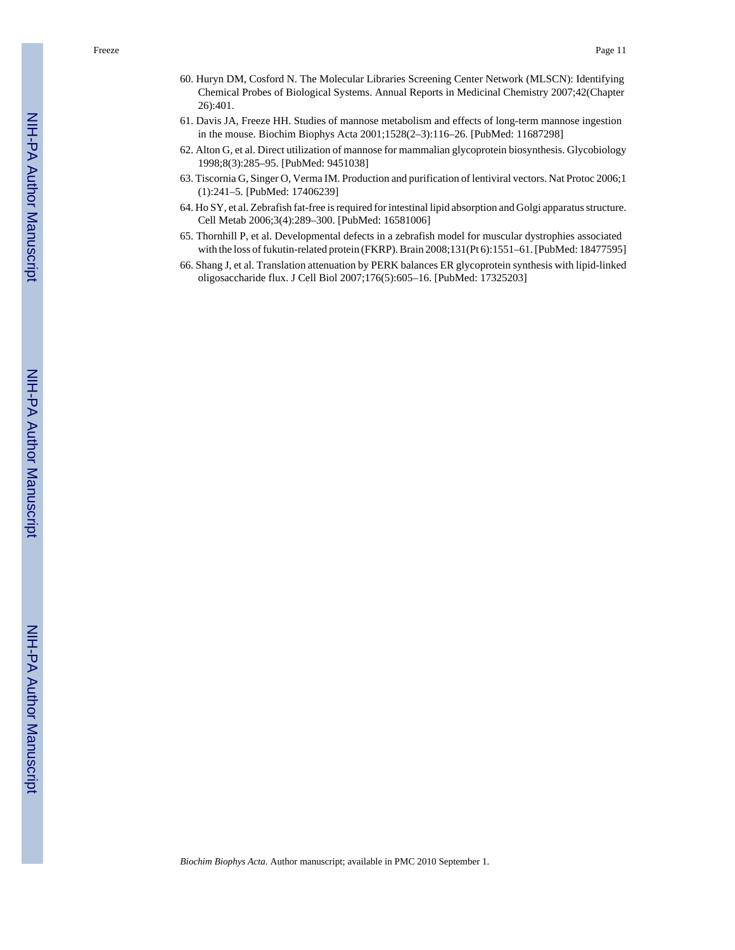- 60. Huryn DM, Cosford N. The Molecular Libraries Screening Center Network (MLSCN): Identifying Chemical Probes of Biological Systems. Annual Reports in Medicinal Chemistry 2007;42(Chapter 26):401.
- 61. Davis JA, Freeze HH. Studies of mannose metabolism and effects of long-term mannose ingestion in the mouse. Biochim Biophys Acta 2001;1528(2–3):116–26. [PubMed: 11687298]
- 62. Alton G, et al. Direct utilization of mannose for mammalian glycoprotein biosynthesis. Glycobiology 1998;8(3):285–95. [PubMed: 9451038]
- 63. Tiscornia G, Singer O, Verma IM. Production and purification of lentiviral vectors. Nat Protoc 2006;1 (1):241–5. [PubMed: 17406239]
- 64. Ho SY, et al. Zebrafish fat-free is required for intestinal lipid absorption and Golgi apparatus structure. Cell Metab 2006;3(4):289–300. [PubMed: 16581006]
- 65. Thornhill P, et al. Developmental defects in a zebrafish model for muscular dystrophies associated with the loss of fukutin-related protein (FKRP). Brain 2008;131(Pt 6):1551–61. [PubMed: 18477595]
- 66. Shang J, et al. Translation attenuation by PERK balances ER glycoprotein synthesis with lipid-linked oligosaccharide flux. J Cell Biol 2007;176(5):605–16. [PubMed: 17325203]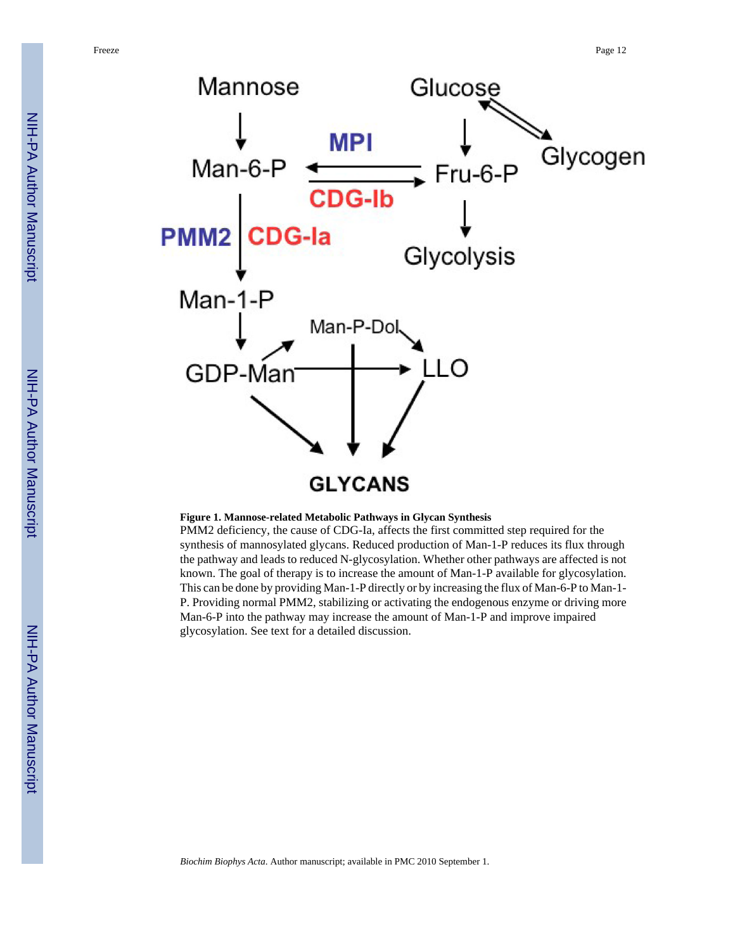

#### **Figure 1. Mannose-related Metabolic Pathways in Glycan Synthesis**

PMM2 deficiency, the cause of CDG-Ia, affects the first committed step required for the synthesis of mannosylated glycans. Reduced production of Man-1-P reduces its flux through the pathway and leads to reduced N-glycosylation. Whether other pathways are affected is not known. The goal of therapy is to increase the amount of Man-1-P available for glycosylation. This can be done by providing Man-1-P directly or by increasing the flux of Man-6-P to Man-1- P. Providing normal PMM2, stabilizing or activating the endogenous enzyme or driving more Man-6-P into the pathway may increase the amount of Man-1-P and improve impaired glycosylation. See text for a detailed discussion.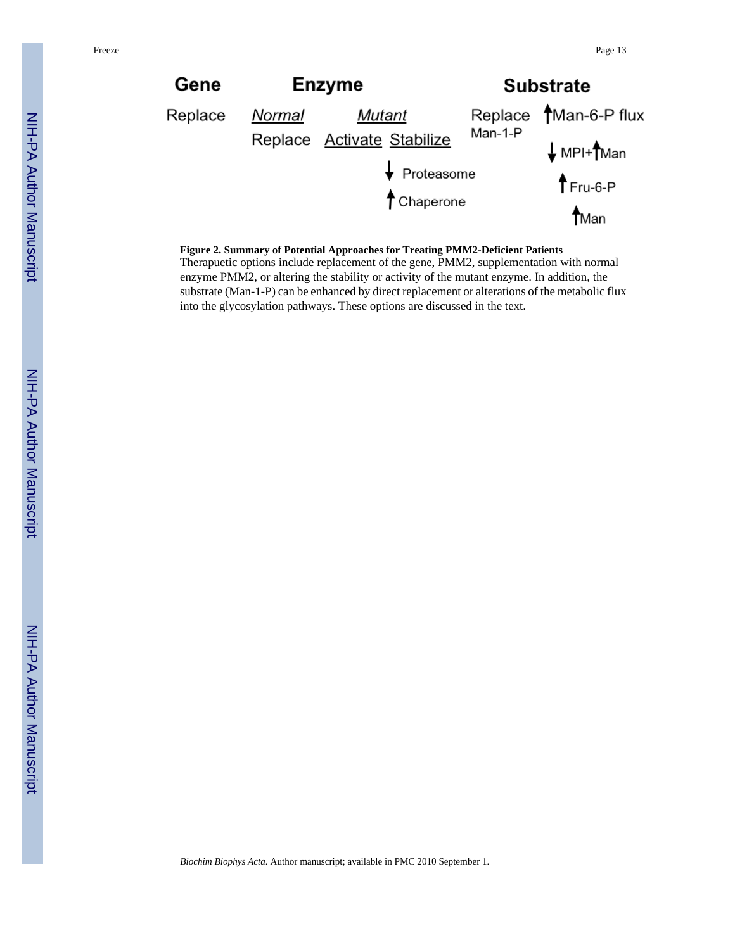

#### **Figure 2. Summary of Potential Approaches for Treating PMM2-Deficient Patients**

Therapuetic options include replacement of the gene, PMM2, supplementation with normal enzyme PMM2, or altering the stability or activity of the mutant enzyme. In addition, the substrate (Man-1-P) can be enhanced by direct replacement or alterations of the metabolic flux into the glycosylation pathways. These options are discussed in the text.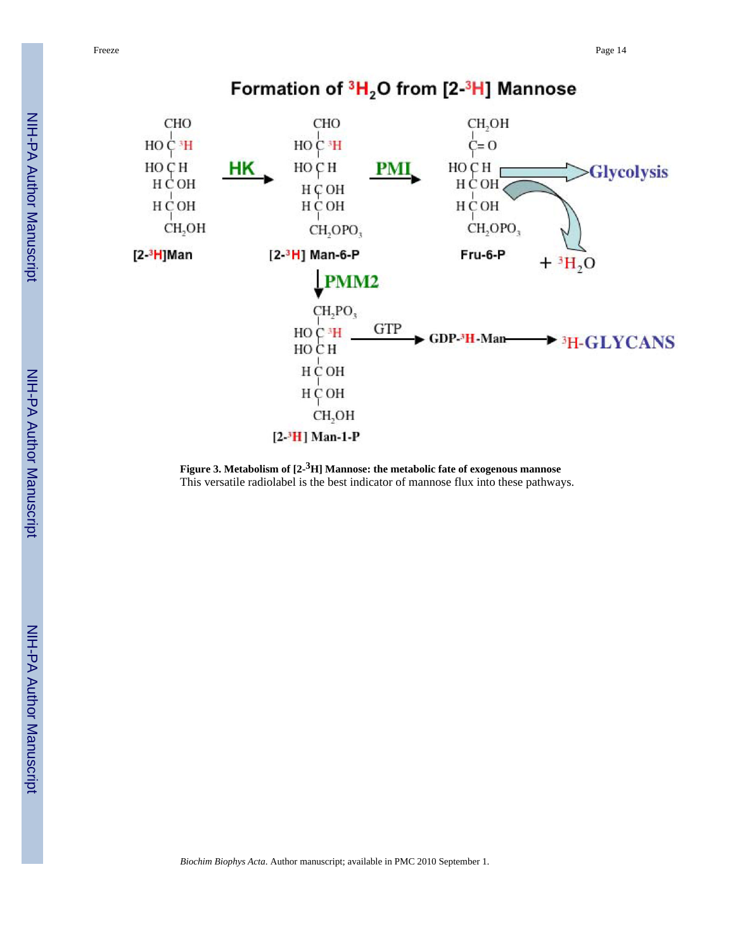

**Figure 3. Metabolism of [2- <sup>3</sup>H] Mannose: the metabolic fate of exogenous mannose** This versatile radiolabel is the best indicator of mannose flux into these pathways.